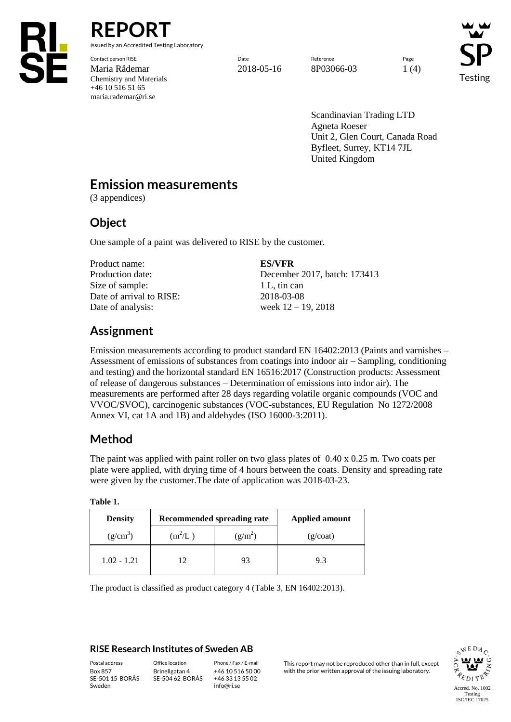

**REPORT** issued by an Accredited Testing Laboratory

Contact person RISE Page Reference Reference Reference Page Reference Page Reference Page Reference Reference Page Maria Rådemar 2018-05-16 8P03066-03 1 (4) Chemistry and Materials +46 10 516 51 65 maria.rademar@ri.se

Testing

Scandinavian Trading LTD Agneta Roeser Unit 2, Glen Court, Canada Road Byfleet, Surrey, KT14 7JL United Kingdom

# **Emission measurements**

(3 appendices)

## **Object**

One sample of a paint was delivered to RISE by the customer.

Product name: **ES/VFR** Size of sample: 1 L, tin can Date of arrival to RISE: 2018-03-08 Date of analysis: week  $12 - 19$ ,  $2018$ 

Production date: December 2017, batch: 173413

# **Assignment**

Emission measurements according to product standard EN 16402:2013 (Paints and varnishes – Assessment of emissions of substances from coatings into indoor air – Sampling, conditioning and testing) and the horizontal standard EN 16516:2017 (Construction products: Assessment of release of dangerous substances – Determination of emissions into indor air). The measurements are performed after 28 days regarding volatile organic compounds (VOC and VVOC/SVOC), carcinogenic substances (VOC-substances, EU Regulation No 1272/2008 Annex VI, cat 1A and 1B) and aldehydes (ISO 16000-3:2011).

# **Method**

The paint was applied with paint roller on two glass plates of  $0.40 \times 0.25$  m. Two coats per plate were applied, with drying time of 4 hours between the coats. Density and spreading rate were given by the customer.The date of application was 2018-03-23.

|  | <b>Density</b> |           | Recommended spreading rate | <b>Applied amount</b> |  |  |
|--|----------------|-----------|----------------------------|-----------------------|--|--|
|  | $(g/cm^3)$     | $(m^2/L)$ | $(g/m^2)$                  | (g/coat)              |  |  |
|  | $1.02 - 1.21$  | 12        | 93                         | 9.3                   |  |  |

**Table 1.**

The product is classified as product category 4 (Table 3, EN 16402:2013).

#### **RISE Research Institutes of Sweden AB**

SE-501 15 BORÅS Sweden

Brinellgatan 4 SE-504 62 BORÅS

+46 10 516 50 00 +46 33 13 55 02 info@ri.se

Postal address Office location Phone / Fax / E-mail This report may not be reproduced other than in full, except<br>Box 857 Brinellgatan 4 +46 10 516 50 00 with the prior written approval of the issuing laboratory. with the prior written approval of the issuing laboratory.

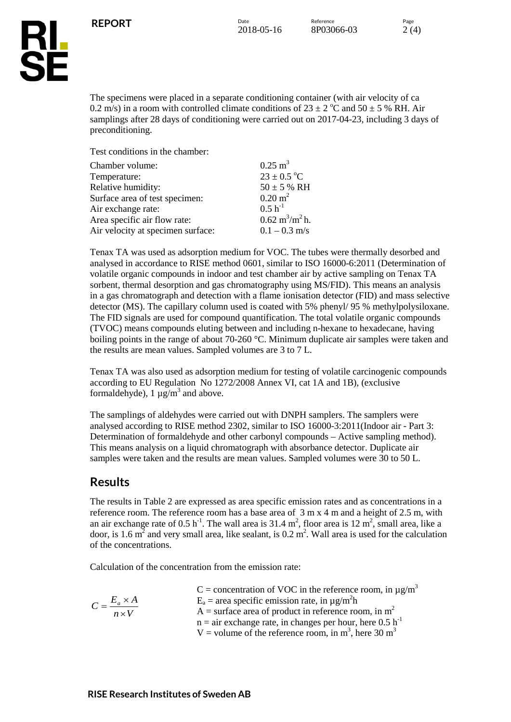



The specimens were placed in a separate conditioning container (with air velocity of ca 0.2 m/s) in a room with controlled climate conditions of  $23 \pm 2$  °C and  $50 \pm 5$  % RH. Air samplings after 28 days of conditioning were carried out on 2017-04-23, including 3 days of preconditioning.

Test conditions in the chamber:

| Chamber volume:                   | $0.25 \text{ m}^3$                       |
|-----------------------------------|------------------------------------------|
| Temperature:                      | $23 \pm 0.5$ °C                          |
| Relative humidity:                | $50 \pm 5$ % RH                          |
| Surface area of test specimen:    | $0.20 \text{ m}^2$                       |
| Air exchange rate:                | $0.5 h^{-1}$                             |
| Area specific air flow rate:      | $0.62 \text{ m}^3/\text{m}^2 \text{h}$ . |
| Air velocity at specimen surface: | $0.1 - 0.3$ m/s                          |

Tenax TA was used as adsorption medium for VOC. The tubes were thermally desorbed and analysed in accordance to RISE method 0601, similar to ISO 16000-6:2011 (Determination of volatile organic compounds in indoor and test chamber air by active sampling on Tenax TA sorbent, thermal desorption and gas chromatography using MS/FID). This means an analysis in a gas chromatograph and detection with a flame ionisation detector (FID) and mass selective detector (MS). The capillary column used is coated with 5% phenyl/ 95 % methylpolysiloxane. The FID signals are used for compound quantification. The total volatile organic compounds (TVOC) means compounds eluting between and including n-hexane to hexadecane, having boiling points in the range of about 70-260 °C. Minimum duplicate air samples were taken and the results are mean values. Sampled volumes are 3 to 7 L.

Tenax TA was also used as adsorption medium for testing of volatile carcinogenic compounds according to EU Regulation No 1272/2008 Annex VI, cat 1A and 1B), (exclusive formaldehyde),  $1 \mu g/m^3$  and above.

The samplings of aldehydes were carried out with DNPH samplers. The samplers were analysed according to RISE method 2302, similar to ISO 16000-3:2011(Indoor air - Part 3: Determination of formaldehyde and other carbonyl compounds – Active sampling method). This means analysis on a liquid chromatograph with absorbance detector. Duplicate air samples were taken and the results are mean values. Sampled volumes were 30 to 50 L.

### **Results**

The results in Table 2 are expressed as area specific emission rates and as concentrations in a reference room. The reference room has a base area of 3 m x 4 m and a height of 2.5 m, with an air exchange rate of  $0.5 \text{ h}^{-1}$ . The wall area is  $31.4 \text{ m}^2$ , floor area is  $12 \text{ m}^2$ , small area, like a door, is 1.6  $m^2$  and very small area, like sealant, is 0.2  $m^2$ . Wall area is used for the calculation of the concentrations.

Calculation of the concentration from the emission rate:

|                              | C = concentration of VOC in the reference room, in $\mu$ g/m <sup>3</sup>    |
|------------------------------|------------------------------------------------------------------------------|
| $C = \frac{E_a \times A}{4}$ | $E_a$ = area specific emission rate, in $\mu$ g/m <sup>2</sup> h             |
| $n \times V$                 | A = surface area of product in reference room, in $m2$                       |
|                              | $n =$ air exchange rate, in changes per hour, here 0.5 h <sup>-1</sup>       |
|                              | V = volume of the reference room, in m <sup>3</sup> , here 30 m <sup>3</sup> |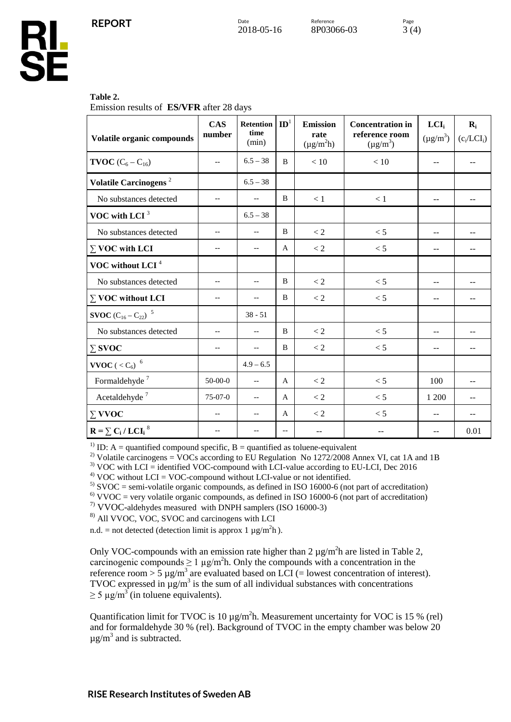

#### **Table 2.**

Emission results of **ES/VFR** after 28 days

| Volatile organic compounds                       | <b>CAS</b><br>number     | <b>Retention</b><br>time<br>(min) | $\mathbf{ID}^1$          | <b>Emission</b><br>rate<br>$(\mu g/m^2 h)$ | <b>Concentration</b> in<br>reference room<br>$(\mu g/m^3)$ | LCI <sub>i</sub><br>$(\mu g/m^3)$ | $\mathbf{R}_{i}$<br>$(c_i/LCI_i)$ |
|--------------------------------------------------|--------------------------|-----------------------------------|--------------------------|--------------------------------------------|------------------------------------------------------------|-----------------------------------|-----------------------------------|
| <b>TVOC</b> $(C_6 - C_{16})$                     | $-$                      | $6.5 - 38$                        | B                        | $<10$                                      | $<10$                                                      | --                                |                                   |
| Volatile Carcinogens <sup>2</sup>                |                          | $6.5 - 38$                        |                          |                                            |                                                            |                                   |                                   |
| No substances detected                           | $-$                      | $-$                               | B                        | < 1                                        | $<1\,$                                                     | $- -$                             |                                   |
| VOC with LCI <sup>3</sup>                        |                          | $6.5 - 38$                        |                          |                                            |                                                            |                                   |                                   |
| No substances detected                           | $-$                      | $-$                               | B                        | < 2                                        | < 5                                                        | $-$                               |                                   |
| $\Sigma$ VOC with LCI                            | $-$                      | $-$                               | $\mathbf{A}$             | $< 2$                                      | < 5                                                        | --                                |                                   |
| VOC without LCI <sup>4</sup>                     |                          |                                   |                          |                                            |                                                            |                                   |                                   |
| No substances detected                           | $\overline{\phantom{m}}$ | $-\, -$                           | B                        | $< 2$                                      | < 5                                                        | $-1$                              |                                   |
| $\Sigma$ VOC without LCI                         | $\overline{\phantom{m}}$ | $-$                               | B                        | < 2                                        | < 5                                                        | --                                | $-$                               |
| <b>SVOC</b> $(C_{16} - C_{22})^{-5}$             |                          | $38 - 51$                         |                          |                                            |                                                            |                                   |                                   |
| No substances detected                           | $-$                      | $-$                               | B                        | $< 2\,$                                    | < 5                                                        | $-$                               | $\sim$ $\sim$                     |
| $\Sigma$ SVOC                                    | $-$                      | $-$                               | B                        | $< 2$                                      | < 5                                                        | $- -$                             |                                   |
| $\textbf{VVOC}$ ( $<\mathrm{C}_6\mathrm{)}^{-6}$ |                          | $4.9 - 6.5$                       |                          |                                            |                                                            |                                   |                                   |
| Formaldehyde <sup>7</sup>                        | $50-00-0$                | $-\!$                             | $\mathsf{A}$             | $\lt 2$                                    | $< 5\,$                                                    | 100                               |                                   |
| Acetaldehyde $^7\,$                              | $75-07-0$                | $-$                               | A                        | $\lt 2$                                    | < 5                                                        | 1 200                             |                                   |
| $\Sigma$ VVOC                                    |                          | $-$                               | A                        | $\lt 2$                                    | < 5                                                        | --                                |                                   |
| $R = \sum C_i / LCI_i^8$                         |                          | --                                | $\overline{\phantom{m}}$ | --                                         |                                                            | --                                | 0.01                              |

<sup>1)</sup> ID: A = quantified compound specific, B = quantified as toluene-equivalent

<sup>2)</sup> Volatile carcinogens = VOCs according to EU Regulation No 1272/2008 Annex VI, cat 1A and 1B<br><sup>3)</sup> VOC with LCI = identified VOC-compound with LCI-value according to EU-LCI, Dec 2016<br><sup>4)</sup> VOC without LCI = VOC-compound

7) VVOC-aldehydes measured with DNPH samplers (ISO 16000-3)

8) All VVOC, VOC, SVOC and carcinogens with LCI

n.d. = not detected (detection limit is approx 1  $\mu$ g/m<sup>2</sup>h).

Only VOC-compounds with an emission rate higher than  $2 \mu g/m^2 h$  are listed in Table 2, carcinogenic compounds  $\geq 1 \mu g/m^2 h$ . Only the compounds with a concentration in the reference room > 5  $\mu$ g/m<sup>3</sup> are evaluated based on LCI (= lowest concentration of interest). TVOC expressed in  $\mu$ g/m<sup>3</sup> is the sum of all individual substances with concentrations  $\geq$  5 µg/m<sup>3</sup> (in toluene equivalents).

Quantification limit for TVOC is 10  $\mu$ g/m<sup>2</sup>h. Measurement uncertainty for VOC is 15 % (rel) and for formaldehyde 30 % (rel). Background of TVOC in the empty chamber was below 20  $\mu$ g/m<sup>3</sup> and is subtracted.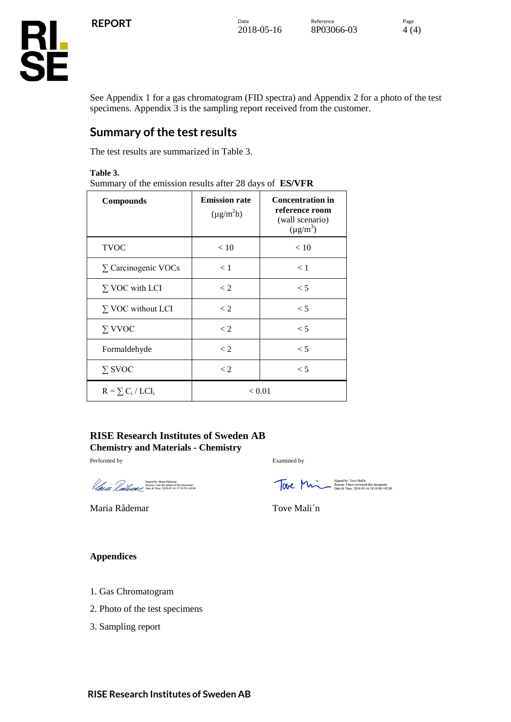

See Appendix 1 for a gas chromatogram (FID spectra) and Appendix 2 for a photo of the test specimens. Appendix 3 is the sampling report received from the customer.

## **Summary of the test results**

The test results are summarized in Table 3.

**Table 3.**

Summary of the emission results after 28 days of **ES/VFR**

| <b>Compounds</b>           | <b>Emission rate</b><br>$(\mu g/m^2 h)$ | <b>Concentration in</b><br>reference room<br>(wall scenario)<br>$(\mu g/m^3)$ |
|----------------------------|-----------------------------------------|-------------------------------------------------------------------------------|
| <b>TVOC</b>                | < 10                                    | < 10                                                                          |
| $\Sigma$ Carcinogenic VOCs | $\lt 1$                                 | $\lt 1$                                                                       |
| $\Sigma$ VOC with LCI      | $\lt 2$                                 | $\leq 5$                                                                      |
| $\Sigma$ VOC without LCI   | $\lt 2$                                 | $\leq 5$                                                                      |
| $\Sigma$ VVOC              | $\lt 2$                                 | $\leq 5$                                                                      |
| Formaldehyde               | $\lt 2$                                 | $\leq 5$                                                                      |
| $\Sigma$ SVOC              | $\lt 2$                                 | $\leq 5$                                                                      |
| $R = \sum_{i} C_i / LCI_i$ | < 0.01                                  |                                                                               |

#### **RISE Research Institutes of Sweden AB Chemistry and Materials - Chemistry**

Performed by Examined by

Signed by: Maria Rådemar<br>Reason: I am the author of this document<br>Date & Time: 2018-05-16 15:30:59 +02:00

Maria Rådemar Tove Mali'n

FONE MANA Signed by: Tove Mali'n<br>Reason: I have reviewed this document<br>Date & Time: 2018-05-16 18:14:00 +02:00

#### **Appendices**

- 1. Gas Chromatogram
- 2. Photo of the test specimens
- 3. Sampling report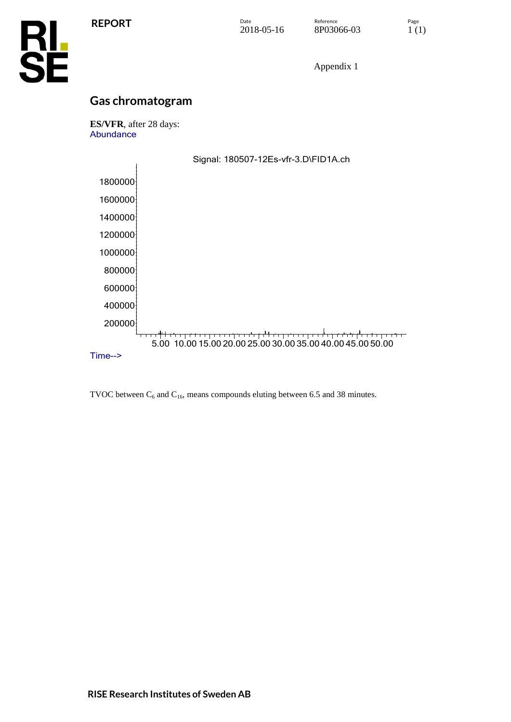

Appendix 1

## **Gas chromatogram**

**ES/VFR**, after 28 days: Abundance



TVOC between  $C_6$  and  $C_{16}$ , means compounds eluting between 6.5 and 38 minutes.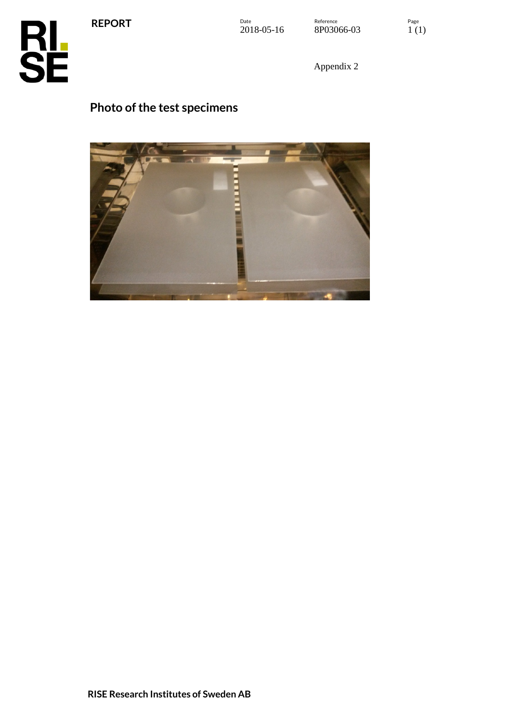**REPORT**



Appendix 2

# **Photo of the test specimens**